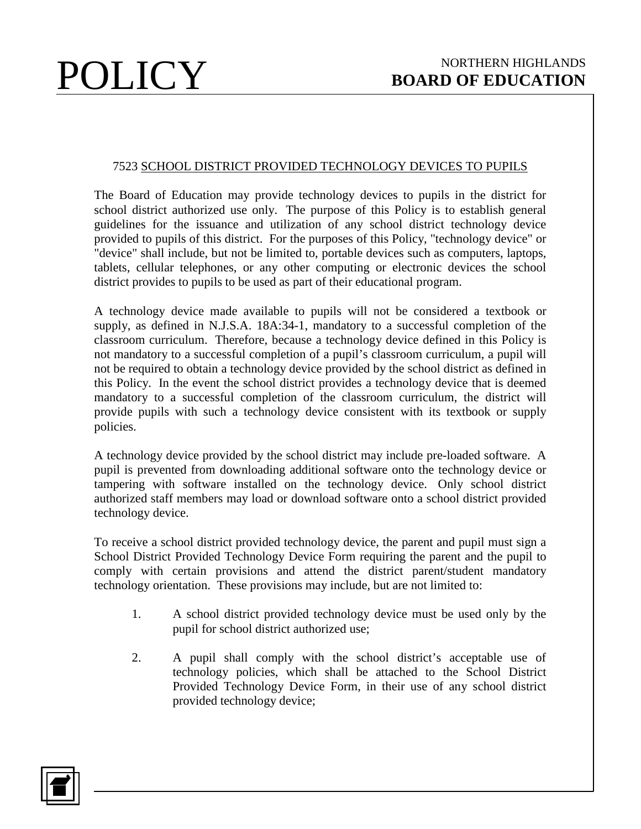## 7523 SCHOOL DISTRICT PROVIDED TECHNOLOGY DEVICES TO PUPILS

The Board of Education may provide technology devices to pupils in the district for school district authorized use only. The purpose of this Policy is to establish general guidelines for the issuance and utilization of any school district technology device provided to pupils of this district. For the purposes of this Policy, "technology device" or "device" shall include, but not be limited to, portable devices such as computers, laptops, tablets, cellular telephones, or any other computing or electronic devices the school district provides to pupils to be used as part of their educational program.

A technology device made available to pupils will not be considered a textbook or supply, as defined in N.J.S.A. 18A:34-1, mandatory to a successful completion of the classroom curriculum. Therefore, because a technology device defined in this Policy is not mandatory to a successful completion of a pupil's classroom curriculum, a pupil will not be required to obtain a technology device provided by the school district as defined in this Policy. In the event the school district provides a technology device that is deemed mandatory to a successful completion of the classroom curriculum, the district will provide pupils with such a technology device consistent with its textbook or supply policies.

A technology device provided by the school district may include pre-loaded software. A pupil is prevented from downloading additional software onto the technology device or tampering with software installed on the technology device. Only school district authorized staff members may load or download software onto a school district provided technology device.

To receive a school district provided technology device, the parent and pupil must sign a School District Provided Technology Device Form requiring the parent and the pupil to comply with certain provisions and attend the district parent/student mandatory technology orientation. These provisions may include, but are not limited to:

- 1. A school district provided technology device must be used only by the pupil for school district authorized use;
- 2. A pupil shall comply with the school district's acceptable use of technology policies, which shall be attached to the School District Provided Technology Device Form, in their use of any school district provided technology device;

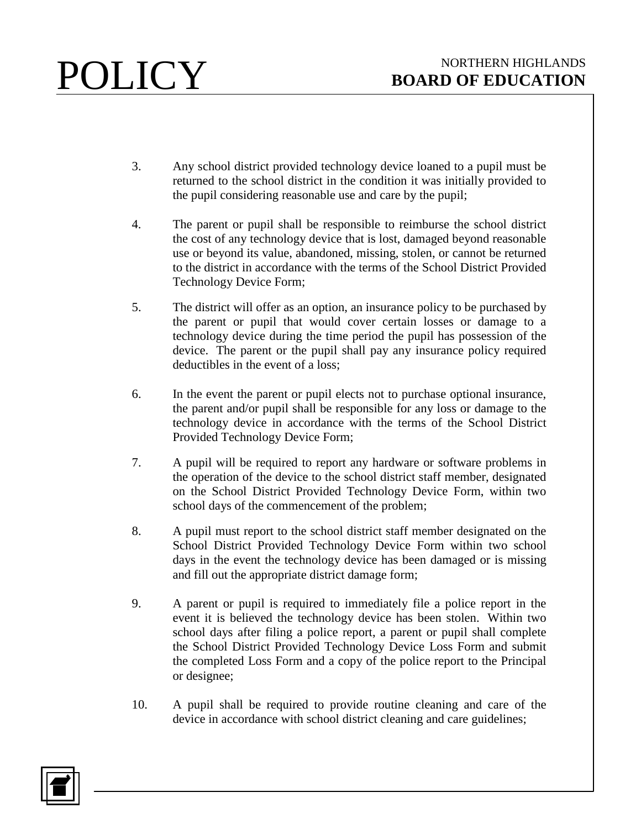- 3. Any school district provided technology device loaned to a pupil must be returned to the school district in the condition it was initially provided to the pupil considering reasonable use and care by the pupil;
- 4. The parent or pupil shall be responsible to reimburse the school district the cost of any technology device that is lost, damaged beyond reasonable use or beyond its value, abandoned, missing, stolen, or cannot be returned to the district in accordance with the terms of the School District Provided Technology Device Form;
- 5. The district will offer as an option, an insurance policy to be purchased by the parent or pupil that would cover certain losses or damage to a technology device during the time period the pupil has possession of the device. The parent or the pupil shall pay any insurance policy required deductibles in the event of a loss;
- 6. In the event the parent or pupil elects not to purchase optional insurance, the parent and/or pupil shall be responsible for any loss or damage to the technology device in accordance with the terms of the School District Provided Technology Device Form;
- 7. A pupil will be required to report any hardware or software problems in the operation of the device to the school district staff member, designated on the School District Provided Technology Device Form, within two school days of the commencement of the problem;
- 8. A pupil must report to the school district staff member designated on the School District Provided Technology Device Form within two school days in the event the technology device has been damaged or is missing and fill out the appropriate district damage form;
- 9. A parent or pupil is required to immediately file a police report in the event it is believed the technology device has been stolen. Within two school days after filing a police report, a parent or pupil shall complete the School District Provided Technology Device Loss Form and submit the completed Loss Form and a copy of the police report to the Principal or designee;
- 10. A pupil shall be required to provide routine cleaning and care of the device in accordance with school district cleaning and care guidelines;